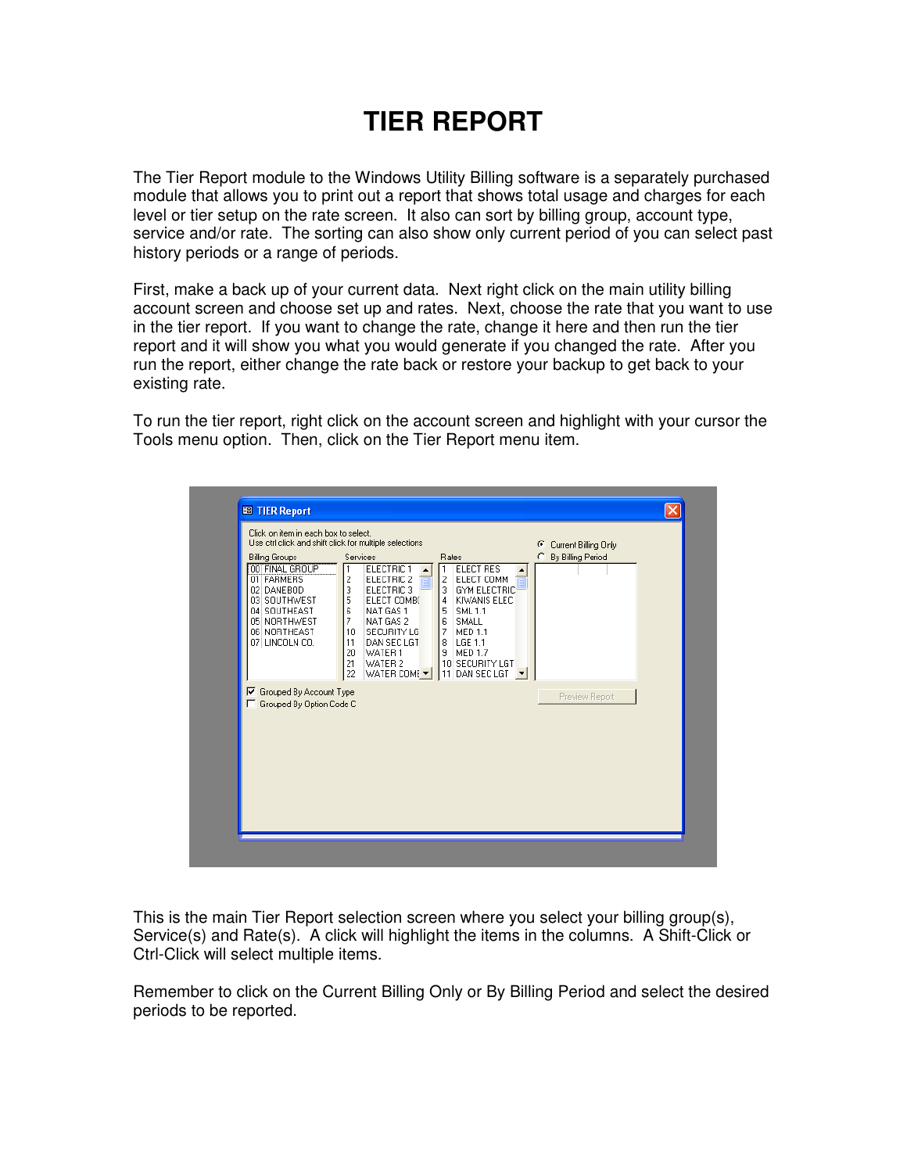## **TIER REPORT**

The Tier Report module to the Windows Utility Billing software is a separately purchased module that allows you to print out a report that shows total usage and charges for each level or tier setup on the rate screen. It also can sort by billing group, account type, service and/or rate. The sorting can also show only current period of you can select past history periods or a range of periods.

First, make a back up of your current data. Next right click on the main utility billing account screen and choose set up and rates. Next, choose the rate that you want to use in the tier report. If you want to change the rate, change it here and then run the tier report and it will show you what you would generate if you changed the rate. After you run the report, either change the rate back or restore your backup to get back to your existing rate.

To run the tier report, right click on the account screen and highlight with your cursor the Tools menu option. Then, click on the Tier Report menu item.



This is the main Tier Report selection screen where you select your billing group(s), Service(s) and Rate(s). A click will highlight the items in the columns. A Shift-Click or Ctrl-Click will select multiple items.

Remember to click on the Current Billing Only or By Billing Period and select the desired periods to be reported.